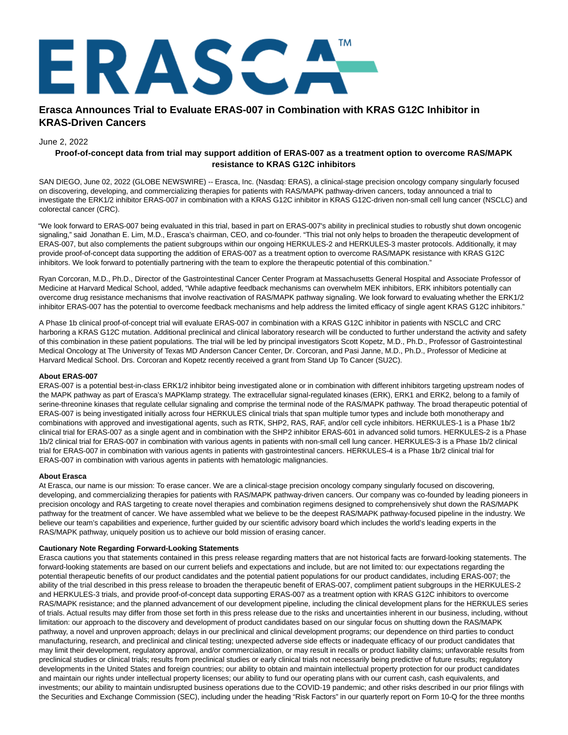

# **Erasca Announces Trial to Evaluate ERAS-007 in Combination with KRAS G12C Inhibitor in KRAS-Driven Cancers**

### June 2, 2022

## **Proof-of-concept data from trial may support addition of ERAS-007 as a treatment option to overcome RAS/MAPK resistance to KRAS G12C inhibitors**

SAN DIEGO, June 02, 2022 (GLOBE NEWSWIRE) -- Erasca, Inc. (Nasdaq: ERAS), a clinical-stage precision oncology company singularly focused on discovering, developing, and commercializing therapies for patients with RAS/MAPK pathway-driven cancers, today announced a trial to investigate the ERK1/2 inhibitor ERAS-007 in combination with a KRAS G12C inhibitor in KRAS G12C-driven non-small cell lung cancer (NSCLC) and colorectal cancer (CRC).

"We look forward to ERAS-007 being evaluated in this trial, based in part on ERAS-007's ability in preclinical studies to robustly shut down oncogenic signaling," said Jonathan E. Lim, M.D., Erasca's chairman, CEO, and co-founder. "This trial not only helps to broaden the therapeutic development of ERAS-007, but also complements the patient subgroups within our ongoing HERKULES-2 and HERKULES-3 master protocols. Additionally, it may provide proof-of-concept data supporting the addition of ERAS-007 as a treatment option to overcome RAS/MAPK resistance with KRAS G12C inhibitors. We look forward to potentially partnering with the team to explore the therapeutic potential of this combination."

Ryan Corcoran, M.D., Ph.D., Director of the Gastrointestinal Cancer Center Program at Massachusetts General Hospital and Associate Professor of Medicine at Harvard Medical School, added, "While adaptive feedback mechanisms can overwhelm MEK inhibitors, ERK inhibitors potentially can overcome drug resistance mechanisms that involve reactivation of RAS/MAPK pathway signaling. We look forward to evaluating whether the ERK1/2 inhibitor ERAS-007 has the potential to overcome feedback mechanisms and help address the limited efficacy of single agent KRAS G12C inhibitors."

A Phase 1b clinical proof-of-concept trial will evaluate ERAS-007 in combination with a KRAS G12C inhibitor in patients with NSCLC and CRC harboring a KRAS G12C mutation. Additional preclinical and clinical laboratory research will be conducted to further understand the activity and safety of this combination in these patient populations. The trial will be led by principal investigators Scott Kopetz, M.D., Ph.D., Professor of Gastrointestinal Medical Oncology at The University of Texas MD Anderson Cancer Center, Dr. Corcoran, and Pasi Janne, M.D., Ph.D., Professor of Medicine at Harvard Medical School. Drs. Corcoran and Kopetz recently received a grant from Stand Up To Cancer (SU2C).

#### **About ERAS-007**

ERAS-007 is a potential best-in-class ERK1/2 inhibitor being investigated alone or in combination with different inhibitors targeting upstream nodes of the MAPK pathway as part of Erasca's MAPKlamp strategy. The extracellular signal-regulated kinases (ERK), ERK1 and ERK2, belong to a family of serine-threonine kinases that regulate cellular signaling and comprise the terminal node of the RAS/MAPK pathway. The broad therapeutic potential of ERAS-007 is being investigated initially across four HERKULES clinical trials that span multiple tumor types and include both monotherapy and combinations with approved and investigational agents, such as RTK, SHP2, RAS, RAF, and/or cell cycle inhibitors. HERKULES-1 is a Phase 1b/2 clinical trial for ERAS-007 as a single agent and in combination with the SHP2 inhibitor ERAS-601 in advanced solid tumors. HERKULES-2 is a Phase 1b/2 clinical trial for ERAS-007 in combination with various agents in patients with non-small cell lung cancer. HERKULES-3 is a Phase 1b/2 clinical trial for ERAS-007 in combination with various agents in patients with gastrointestinal cancers. HERKULES-4 is a Phase 1b/2 clinical trial for ERAS-007 in combination with various agents in patients with hematologic malignancies.

#### **About Erasca**

At Erasca, our name is our mission: To erase cancer. We are a clinical-stage precision oncology company singularly focused on discovering, developing, and commercializing therapies for patients with RAS/MAPK pathway-driven cancers. Our company was co-founded by leading pioneers in precision oncology and RAS targeting to create novel therapies and combination regimens designed to comprehensively shut down the RAS/MAPK pathway for the treatment of cancer. We have assembled what we believe to be the deepest RAS/MAPK pathway-focused pipeline in the industry. We believe our team's capabilities and experience, further guided by our scientific advisory board which includes the world's leading experts in the RAS/MAPK pathway, uniquely position us to achieve our bold mission of erasing cancer.

#### **Cautionary Note Regarding Forward-Looking Statements**

Erasca cautions you that statements contained in this press release regarding matters that are not historical facts are forward-looking statements. The forward-looking statements are based on our current beliefs and expectations and include, but are not limited to: our expectations regarding the potential therapeutic benefits of our product candidates and the potential patient populations for our product candidates, including ERAS-007; the ability of the trial described in this press release to broaden the therapeutic benefit of ERAS-007, compliment patient subgroups in the HERKULES-2 and HERKULES-3 trials, and provide proof-of-concept data supporting ERAS-007 as a treatment option with KRAS G12C inhibitors to overcome RAS/MAPK resistance; and the planned advancement of our development pipeline, including the clinical development plans for the HERKULES series of trials. Actual results may differ from those set forth in this press release due to the risks and uncertainties inherent in our business, including, without limitation: our approach to the discovery and development of product candidates based on our singular focus on shutting down the RAS/MAPK pathway, a novel and unproven approach; delays in our preclinical and clinical development programs; our dependence on third parties to conduct manufacturing, research, and preclinical and clinical testing; unexpected adverse side effects or inadequate efficacy of our product candidates that may limit their development, regulatory approval, and/or commercialization, or may result in recalls or product liability claims; unfavorable results from preclinical studies or clinical trials; results from preclinical studies or early clinical trials not necessarily being predictive of future results; regulatory developments in the United States and foreign countries; our ability to obtain and maintain intellectual property protection for our product candidates and maintain our rights under intellectual property licenses; our ability to fund our operating plans with our current cash, cash equivalents, and investments; our ability to maintain undisrupted business operations due to the COVID-19 pandemic; and other risks described in our prior filings with the Securities and Exchange Commission (SEC), including under the heading "Risk Factors" in our quarterly report on Form 10-Q for the three months